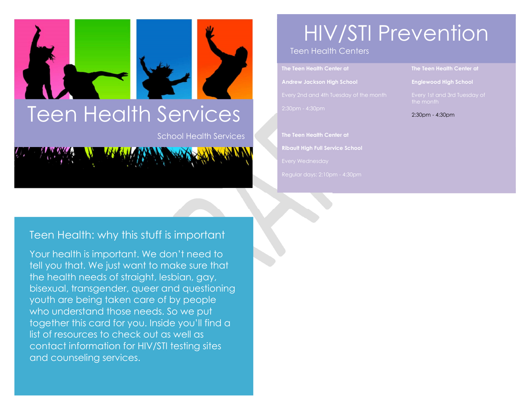# Teen Health Services

School Health Services



### HIV/STI Prevention

Teen Health Centers

**The Teen Health Center at Andrew Jackson High School** 

**The Teen Health Center at Ribault High Full Service School**  **The Teen Health Center at** 

**Englewood High School** 

2:30pm - 4:30pm

#### Teen Health: why this stuff is important

Your health is important. We don't need to tell you that. We just want to make sure that the health needs of straight, lesbian, gay, bisexual, transgender, queer and questioning youth are being taken care of by people who understand those needs. So we put together this card for you. Inside you'll find a list of resources to check out as well as contact information for HIV/STI testing sites and counseling services.